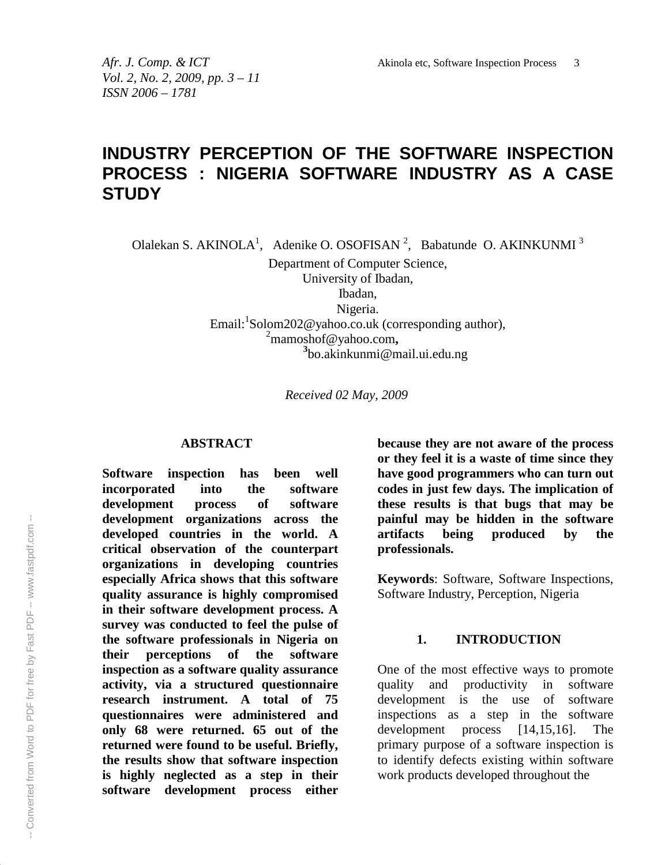*Vol. 2, No. 2, 2009, pp. 3 – 11 ISSN 2006 – 1781*

# **INDUSTRY PERCEPTION OF THE SOFTWARE INSPECTION PROCESS : NIGERIA SOFTWARE INDUSTRY AS A CASE STUDY**

Olalekan S. AKINOLA<sup>1</sup>, Adenike O. OSOFISAN<sup>2</sup>, Babatunde O. AKINKUNMI<sup>3</sup>

Department of Computer Science, University of Ibadan, Ibadan, Nigeria.

Email:<sup>1</sup>Solom202@yahoo.co.uk (corresponding author), <sup>2</sup>mamoshof@yahoo.com**, 3** bo.akinkunmi@mail.ui.edu.ng

*Received 02 May, 2009*

#### **ABSTRACT**

**Software inspection has been well incorporated into the software development process of software development organizations across the developed countries in the world. A critical observation of the counterpart organizations in developing countries especially Africa shows that this software quality assurance is highly compromised in their software development process. A survey was conducted to feel the pulse of the software professionals in Nigeria on their perceptions of the software inspection as a software quality assurance activity, via a structured questionnaire research instrument. A total of 75 questionnaires were administered and only 68 were returned. 65 out of the returned were found to be useful. Briefly, the results show that software inspection is highly neglected as a step in their software development process either**

**because they are not aware of the process or they feel it is a waste of time since they have good programmers who can turn out codes in just few days. The implication of these results is that bugs that may be painful may be hidden in the software artifacts being produced by the professionals.**

**Keywords**: Software, Software Inspections, Software Industry, Perception, Nigeria

#### **1. INTRODUCTION**

One of the most effective ways to promote quality and productivity in software development is the use of software inspections as a step in the software development process [14,15,16]. The primary purpose of a software inspection is to identify defects existing within software work products developed throughout the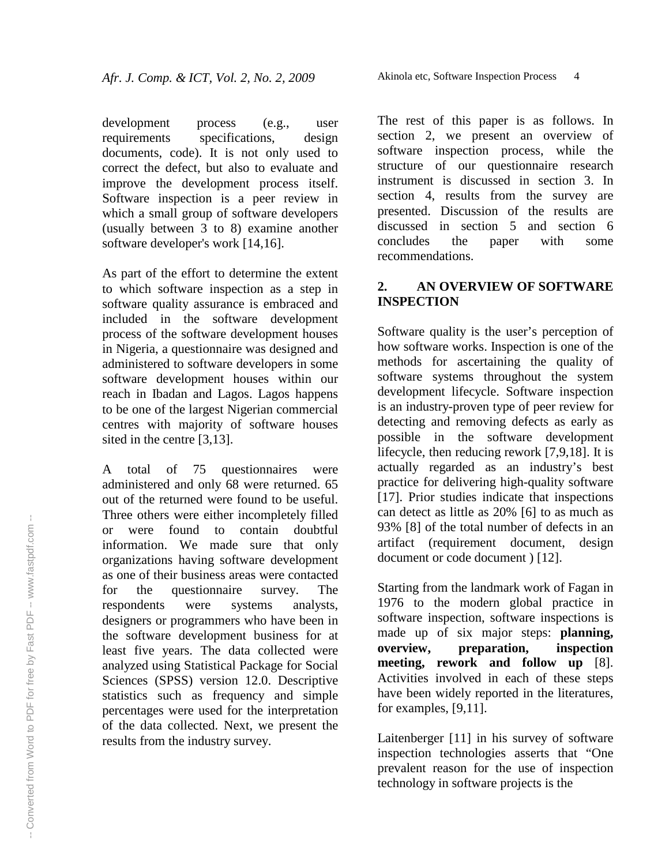development process (e.g., user requirements specifications, design documents, code). It is not only used to correct the defect, but also to evaluate and improve the development process itself. Software inspection is a peer review in which a small group of software developers (usually between 3 to 8) examine another software developer's work [14,16].

As part of the effort to determine the extent to which software inspection as a step in software quality assurance is embraced and included in the software development process of the software development houses in Nigeria, a questionnaire was designed and administered to software developers in some software development houses within our reach in Ibadan and Lagos. Lagos happens to be one of the largest Nigerian commercial centres with majority of software houses sited in the centre [3,13].

A total of 75 questionnaires were administered and only 68 were returned. 65 out of the returned were found to be useful. Three others were either incompletely filled or were found to contain doubtful information. We made sure that only organizations having software development as one of their business areas were contacted for the questionnaire survey. The respondents were systems analysts, designers or programmers who have been in the software development business for at least five years. The data collected were analyzed using Statistical Package for Social Sciences (SPSS) version 12.0. Descriptive statistics such as frequency and simple percentages were used for the interpretation of the data collected. Next, we present the results from the industry survey.

The rest of this paper is as follows. In section 2, we present an overview of software inspection process, while the structure of our questionnaire research instrument is discussed in section 3. In section 4, results from the survey are presented. Discussion of the results are discussed in section 5 and section 6 concludes the paper with some recommendations.

### **2. AN OVERVIEW OF SOFTWARE INSPECTION**

Software quality is the user's perception of how software works. Inspection is one of the methods for ascertaining the quality of software systems throughout the system development lifecycle. Software inspection is an industry-proven type of peer review for detecting and removing defects as early as possible in the software development lifecycle, then reducing rework [7,9,18]. It is actually regarded as an industry's best practice for delivering high-quality software [17]. Prior studies indicate that inspections can detect as little as 20% [6] to as much as 93% [8] of the total number of defects in an artifact (requirement document, design document or code document ) [12].

Starting from the landmark work of Fagan in 1976 to the modern global practice in software inspection, software inspections is made up of six major steps: **planning, overview, preparation, inspection meeting, rework and follow up** [8]. Activities involved in each of these steps have been widely reported in the literatures, for examples, [9,11].

Laitenberger [11] in his survey of software inspection technologies asserts that "One prevalent reason for the use of inspection technology in software projects is the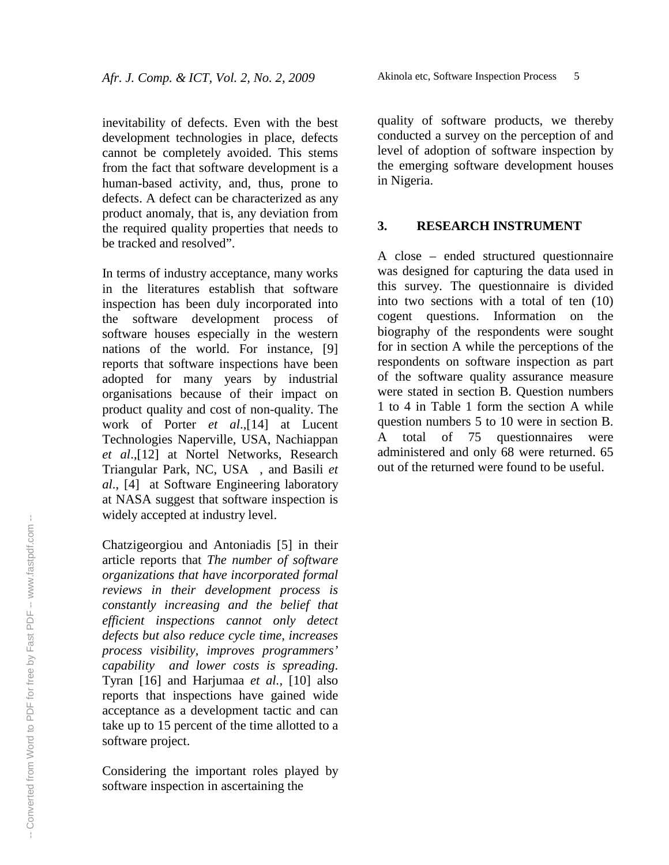inevitability of defects. Even with the best development technologies in place, defects cannot be completely avoided. This stems from the fact that software development is a human-based activity, and, thus, prone to defects. A defect can be characterized as any product anomaly, that is, any deviation from the required quality properties that needs to be tracked and resolved".

In terms of industry acceptance, many works in the literatures establish that software inspection has been duly incorporated into the software development process of software houses especially in the western nations of the world. For instance, [9] reports that software inspections have been adopted for many years by industrial organisations because of their impact on product quality and cost of non-quality. The work of Porter *et al*.,[14] at Lucent Technologies Naperville, USA, Nachiappan *et al*.,[12] at Nortel Networks, Research Triangular Park, NC, USA , and Basili *et al*., [4] at Software Engineering laboratory at NASA suggest that software inspection is widely accepted at industry level.

Chatzigeorgiou and Antoniadis [5] in their article reports that *The number of software organizations that have incorporated formal reviews in their development process is constantly increasing and the belief that efficient inspections cannot only detect defects but also reduce cycle time, increases process visibility, improves programmers' capability and lower costs is spreading*. Tyran [16] and Harjumaa *et al.,* [10] also reports that inspections have gained wide acceptance as a development tactic and can take up to 15 percent of the time allotted to a software project.

Considering the important roles played by software inspection in ascertaining the

quality of software products, we thereby conducted a survey on the perception of and level of adoption of software inspection by the emerging software development houses in Nigeria.

#### **3. RESEARCH INSTRUMENT**

A close – ended structured questionnaire was designed for capturing the data used in this survey. The questionnaire is divided into two sections with a total of ten (10) cogent questions. Information on the biography of the respondents were sought for in section A while the perceptions of the respondents on software inspection as part of the software quality assurance measure were stated in section B. Question numbers 1 to 4 in Table 1 form the section A while question numbers 5 to 10 were in section B. A total of 75 questionnaires were administered and only 68 were returned. 65 out of the returned were found to be useful.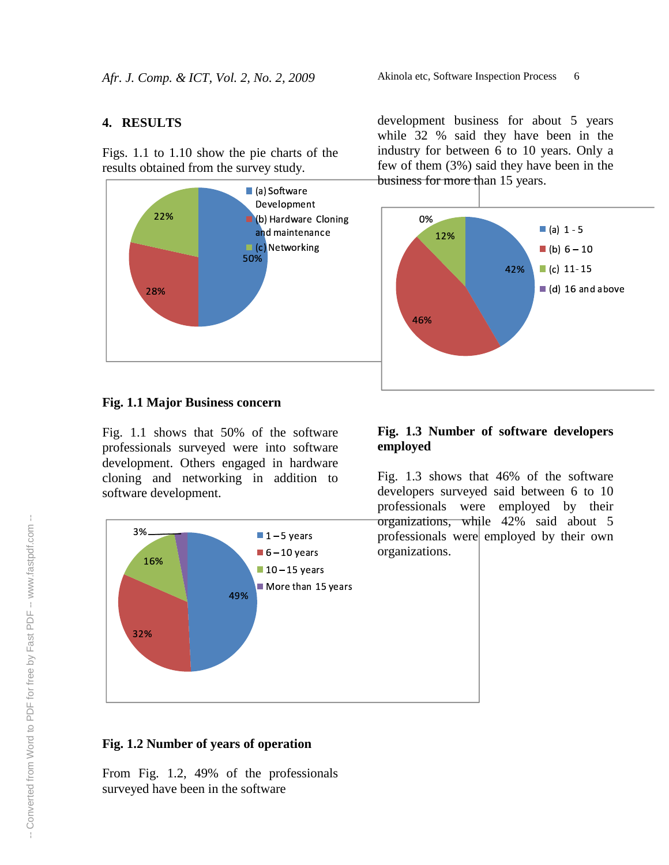## **4. RESULTS**

Figs. 1.1 to 1.10 show the pie charts of the results obtained from the survey study.



#### Akinola etc, Software Inspection Process 6

development business for about 5 years while 32 % said they have been in the industry for between 6 to 10 years. Only a few of them (3%) said they have been in the business for more than 15 years.



## **Fig. 1.1 Major Business concern**

Fig. 1.1 shows that 50% of the software professionals surveyed were into software development. Others engaged in hardware cloning and networking in addition to software development.



## **Fig. 1.3 Number of software developers employed**

Fig. 1.3 shows that 46% of the software developers surveyed said between 6 to 10 professionals were employed by their organizations, while 42% said about 5 professionals were employed by their own organizations.

## **Fig. 1.2 Number of years of operation**

From Fig. 1.2, 49% of the professionals surveyed have been in the software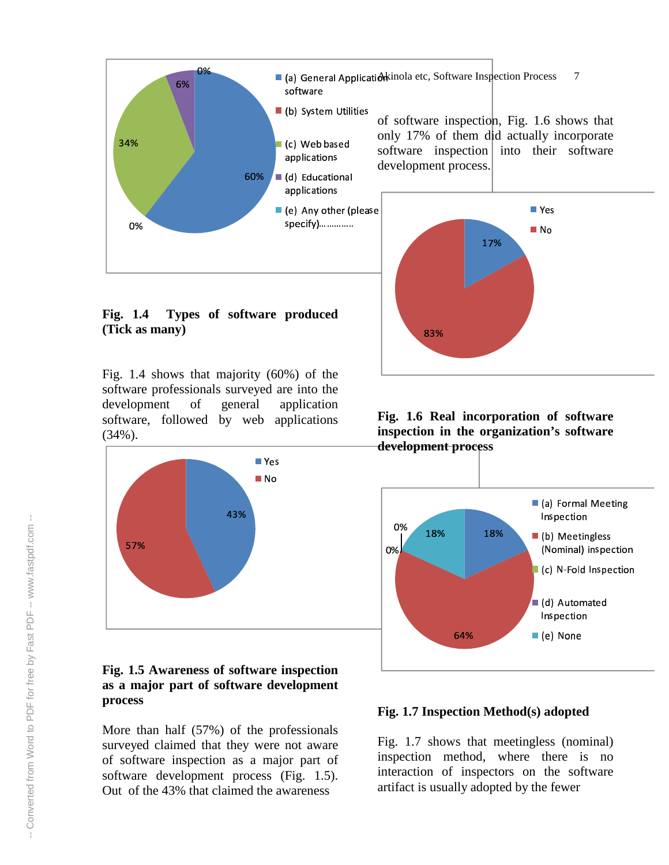

#### **Fig. 1.4 Types of software produced (Tick as many)**

Fig. 1.4 shows that majority (60%) of the software professionals surveyed are into the development of general application software, followed by web applications (34%).



## **Fig. 1.5 Awareness of software inspection as a major part of software development process**

More than half (57%) of the professionals surveyed claimed that they were not aware of software inspection as a major part of software development process (Fig. 1.5). Out of the 43% that claimed the awareness



**Fig. 1.6 Real incorporation of software inspection in the organization's software development process**



#### **Fig. 1.7 Inspection Method(s) adopted**

Fig. 1.7 shows that meetingless (nominal) inspection method, where there is no interaction of inspectors on the software artifact is usually adopted by the fewer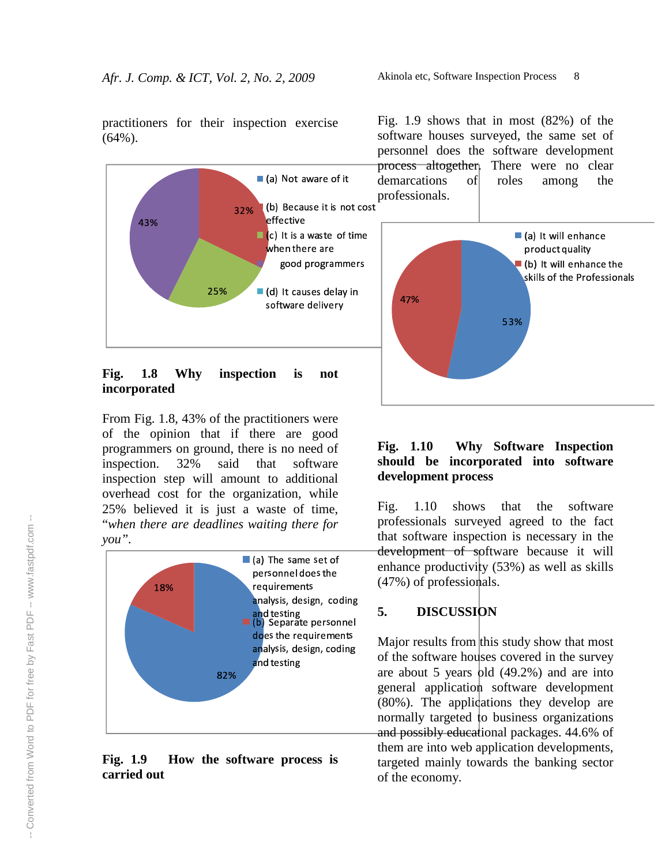practitioners for their inspection exercise (64%).



## **Fig. 1.8 Why inspection is not incorporated**

From Fig. 1.8, 43% of the practitioners were of the opinion that if there are good programmers on ground, there is no need of inspection. 32% said that software inspection step will amount to additional overhead cost for the organization, while 25% believed it is just a waste of time, "*when there are deadlines waiting there for you".*



**Fig. 1.9 How the software process is carried out**

 professionals. Fig. 1.9 shows that in most (82%) of the software houses surveyed, the same set of personnel does the software development process altogether. There were no clear demarcations of roles among the



## **Fig. 1.10 Why Software Inspection should be incorporated into software development process**

Fig. 1.10 shows that the software professionals surveyed agreed to the fact that software inspection is necessary in the development of software because it will enhance productivity (53%) as well as skills (47%) of professionals.

## **5. DISCUSSION**

 $\epsilon$ <sup>ording</sup> Major results from this study show that most of the software houses covered in the survey are about 5 years old  $(49.2%)$  and are into general application software development (80%). The applications they develop are normally targeted to business organizations and possibly educational packages. 44.6% of them are into web application developments, targeted mainly towards the banking sector of the economy.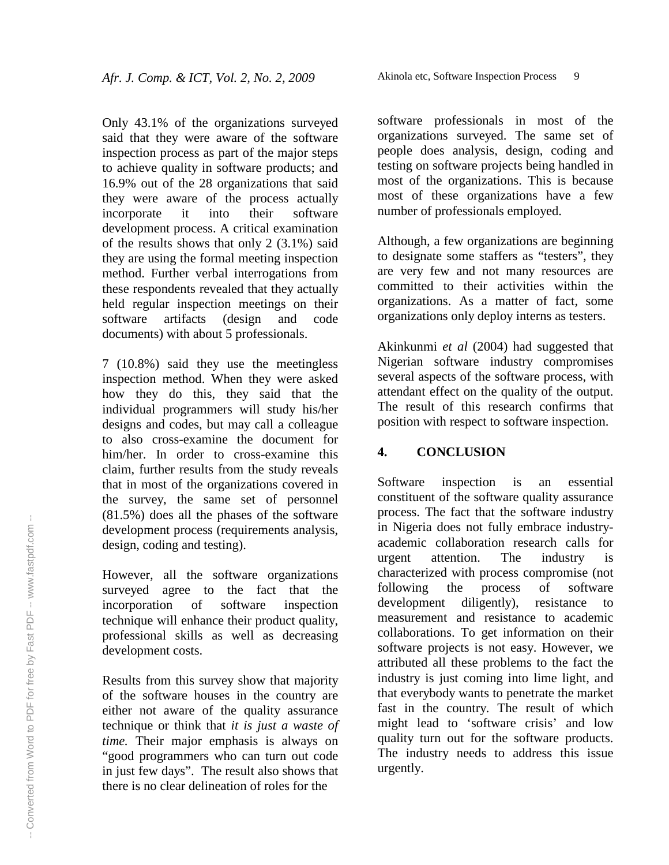Only 43.1% of the organizations surveyed said that they were aware of the software inspection process as part of the major steps to achieve quality in software products; and 16.9% out of the 28 organizations that said they were aware of the process actually incorporate it into their software development process. A critical examination of the results shows that only 2 (3.1%) said they are using the formal meeting inspection method. Further verbal interrogations from these respondents revealed that they actually held regular inspection meetings on their software artifacts (design and code documents) with about 5 professionals.

7 (10.8%) said they use the meetingless inspection method. When they were asked how they do this, they said that the individual programmers will study his/her designs and codes, but may call a colleague to also cross-examine the document for him/her. In order to cross-examine this claim, further results from the study reveals that in most of the organizations covered in the survey, the same set of personnel (81.5%) does all the phases of the software development process (requirements analysis, design, coding and testing).

However, all the software organizations surveyed agree to the fact that the incorporation of software inspection technique will enhance their product quality, professional skills as well as decreasing development costs.

Results from this survey show that majority of the software houses in the country are either not aware of the quality assurance technique or think that *it is just a waste of time.* Their major emphasis is always on "good programmers who can turn out code in just few days". The result also shows that there is no clear delineation of roles for the

software professionals in most of the organizations surveyed. The same set of people does analysis, design, coding and testing on software projects being handled in most of the organizations. This is because most of these organizations have a few number of professionals employed.

Although, a few organizations are beginning to designate some staffers as "testers", they are very few and not many resources are committed to their activities within the organizations. As a matter of fact, some organizations only deploy interns as testers.

Akinkunmi *et al* (2004) had suggested that Nigerian software industry compromises several aspects of the software process, with attendant effect on the quality of the output. The result of this research confirms that position with respect to software inspection.

## **4. CONCLUSION**

Software inspection is an essential constituent of the software quality assurance process. The fact that the software industry in Nigeria does not fully embrace industryacademic collaboration research calls for urgent attention. The industry is characterized with process compromise (not following the process of software development diligently), resistance to measurement and resistance to academic collaborations. To get information on their software projects is not easy. However, we attributed all these problems to the fact the industry is just coming into lime light, and that everybody wants to penetrate the market fast in the country. The result of which might lead to 'software crisis' and low quality turn out for the software products. The industry needs to address this issue urgently.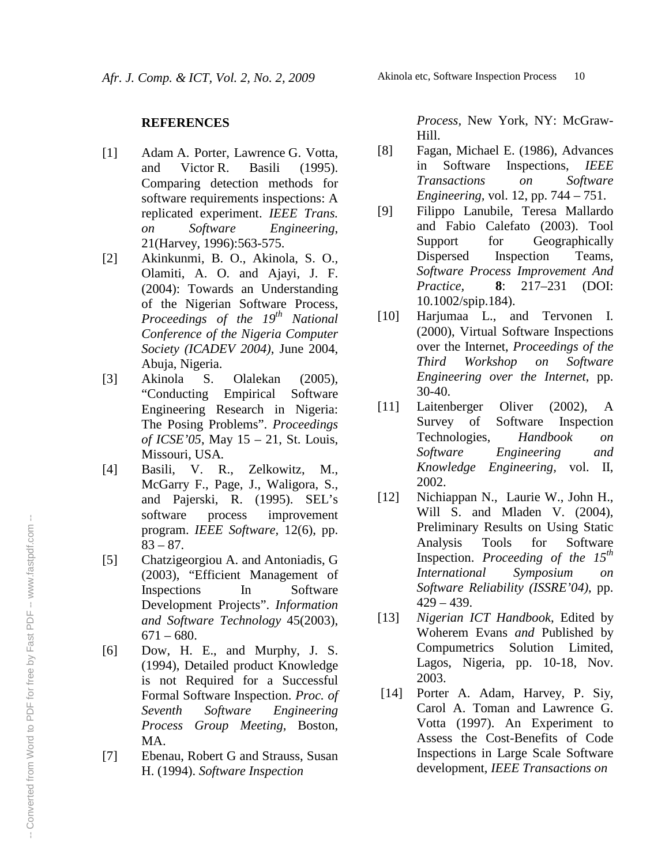#### **R E F E R E N C E S**

- [ 1 ] Adam A. Porter, Lawrence G. Votta, a n d Victor R. **Basili**  $(1995).$ Comparing detection methods for software requirements inspections: A replicated experiment. IEEE Trans. *o n S oft w a r e Engineering*, 21 (Harvey, 1996): 563-575.
- [ 2 ] Akinkunmi, B. O., Akinola, S. O., Olamiti, A. O. and Ajayi, J. F. (2004): Towards an Understanding of the Nigerian Software Process, Proceedings of the 19<sup>th</sup> National Conference of the Nigeria Computer Society (ICADEV 2004), June 2004, Abuja, Nigeria.
- [ 3 ] Akinola S . Olalekan  $(2005),$ "Conducting Empirical Software Engineering Research in Nigeria: The Posing Problems". Proceedings *of ICSE*'05, May 15 – 21, St. Louis, Missouri, USA.
- [ 4 ] Basili, V. R., Zelkowitz, M., McGarry F., Page, J., Waligora, S., and Pajerski, R. (1995). SEL's software process improvement program. IEEE Software, 12(6), pp.  $83 - 87.$
- [ 5 ] Chatzigeorgiou A. and Antoniadis, G (2003), "Efficient Management of Inspections I n Software Development Projects". Information and Software Technology 45(2003),  $671 - 680.$
- [ 6 ] Dow, H. E., and Murphy, J. S. (1994), Detailed product Knowledge is not Required for a Successful Formal Software Inspection. Proc. of *S e v e n t h S oft w a r e Engineering* Process Group Meeting, Boston, MA.
- [ 7 ] Ebenau, Robert G and Strauss, Susan H. (1994). Software Inspection

Process, New York, NY: McGraw-Hill.

- [ 8 ] Fagan, Michael E. (1986), Advances i n Software Inspections, IEEE *Transactions o n S oft w a r e Engineering*, vol. 12, pp. 744 – 751.
- [ 9 ] Filippo Lanubile, Teresa Mallardo and Fabio Calefato (2003). Tool Support fo r Geographically Dispersed Inspection Teams, Software Process Improvement And *P ra c t i c e ,* **8** : 217–231 (DOI: 10.1002/spip.184).
- [10] Harjumaa L., and Tervonen I. (2000), Virtual Software Inspections over the Internet, Proceedings of the *Th i rd* Workshop *o n S oft w a r e Engineering over the Internet, pp.* 30-40.
- [ 1 1 ] Laitenberger Oliver  $(2002),$ A Survey of Software Inspection Technologies, *Handbook o n S oftw a r e Engineering a n d Knowledge Engineering*, vol. II, 2 0 0 2 .
- [ 1 2 ] Nichiappan N., Laurie W., John H., Will S. and Mladen V. (2004), Preliminary Results on Using Static Analysis **Tools** fo r Software Inspection. Proceeding of the  $15^{th}$ *International Symposium o n* Software Reliability (ISSRE'04), pp.  $429 - 439.$
- [ 1 3 ] Nigerian ICT Handbook, Edited by Woherem Evans and Published by Compumetrics Solution Limited, Lagos, Nigeria, pp. 10-18, Nov. 2003.
- [ 1 4 ] Porter A. Adam, Harvey, P. Siy, Carol A. Toman and Lawrence G. Votta (1997). An Experiment to Assess the Cost-Benefits of Code Inspections in Large Scale Software development, IEEE Transactions on